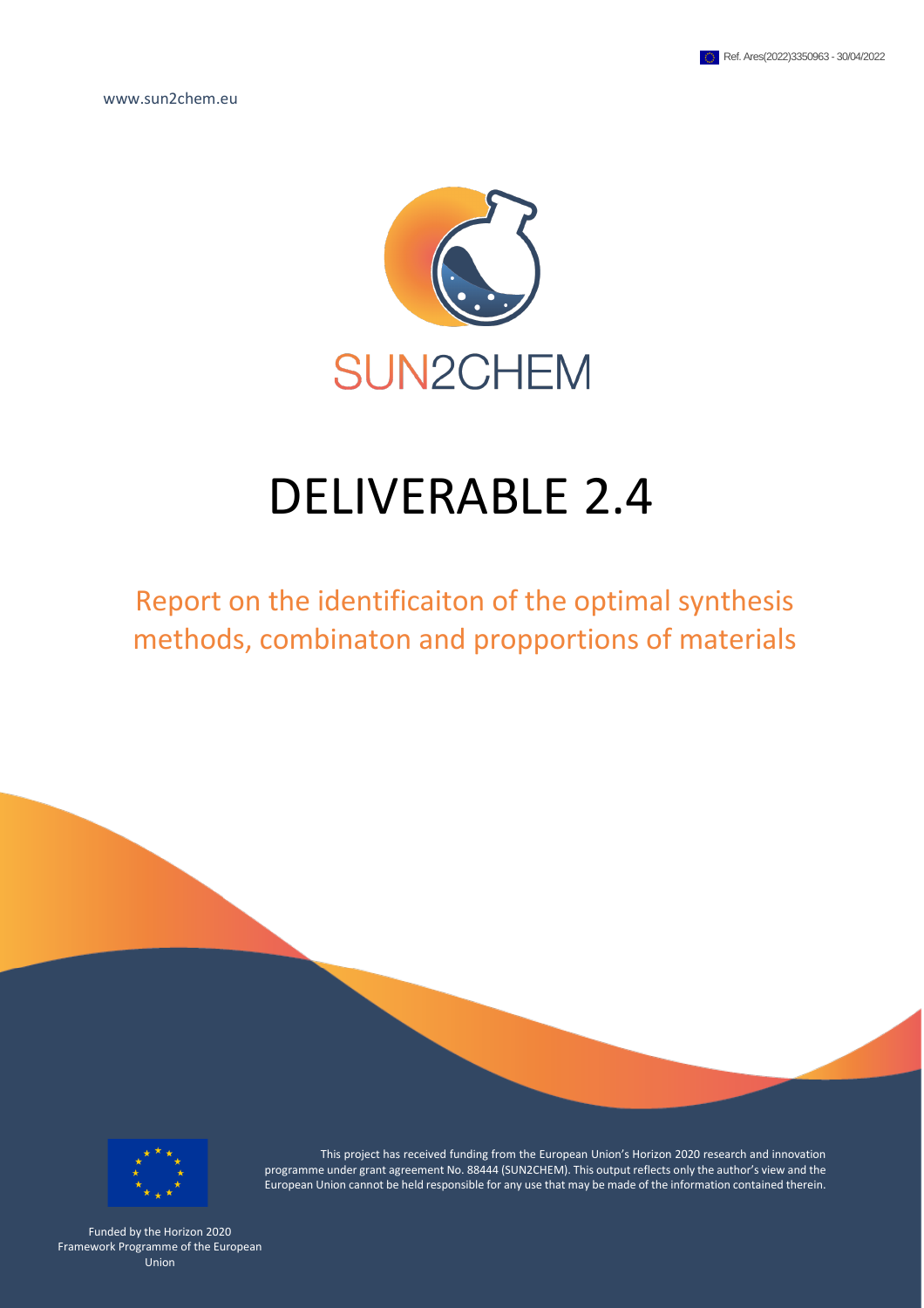www.sun2chem.eu



# DELIVERABLE 2.4

# Report on the identificaiton of the optimal synthesis methods, combinaton and propportions of materials



This project has received funding from the European Union's Horizon 2020 research and innovation programme under grant agreement No. 88444 (SUN2CHEM). This output reflects only the author's view and the European Union cannot be held responsible for any use that may be made of the information contained therein.

Funded by the Horizon 2020 Framework Programme of the European Union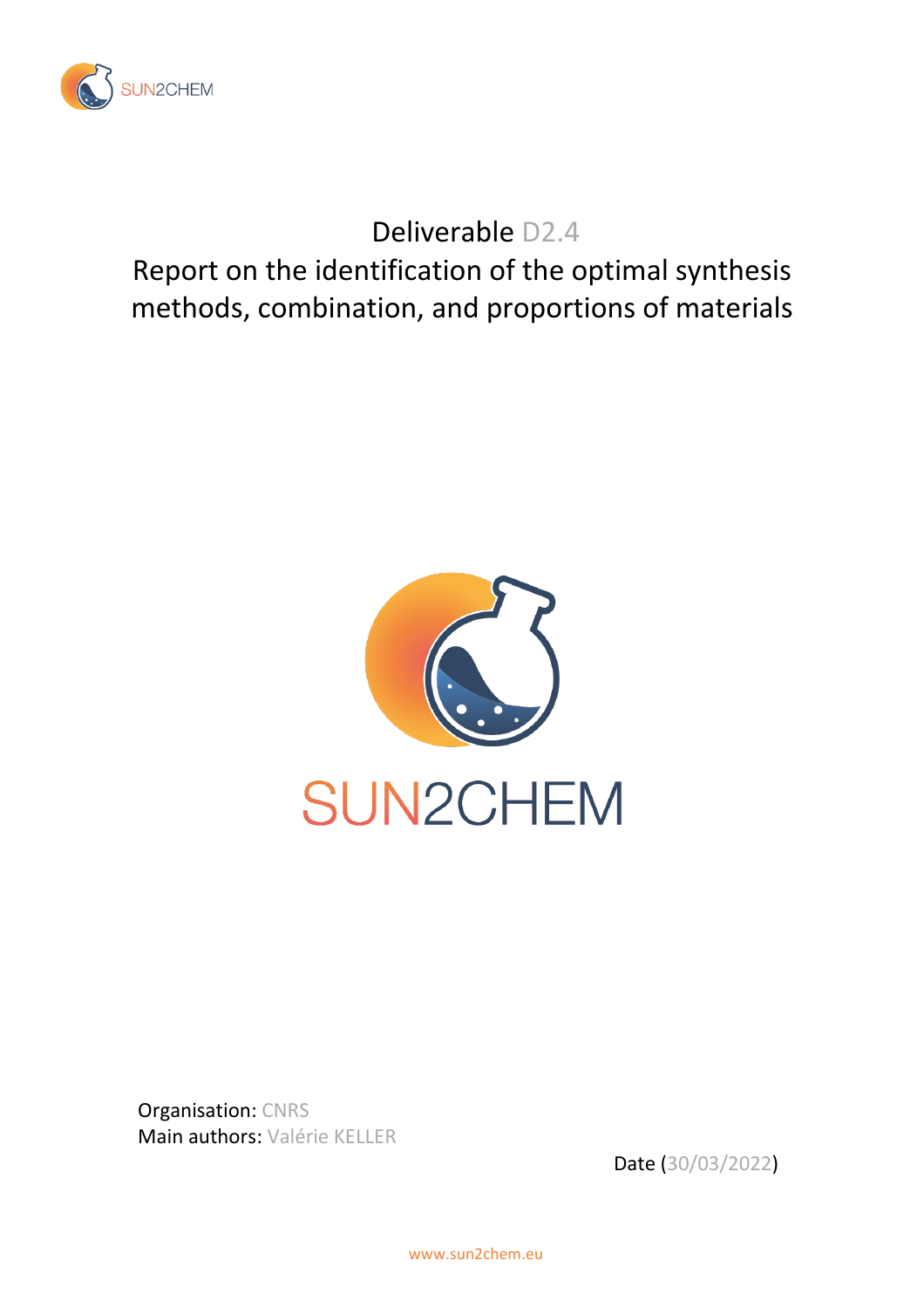

Deliverable D2.4

Report on the identification of the optimal synthesis methods, combination, and proportions of materials



Organisation: CNRS Main authors: Valérie KELLER

Date (30/03/2022)

www.sun2chem.eu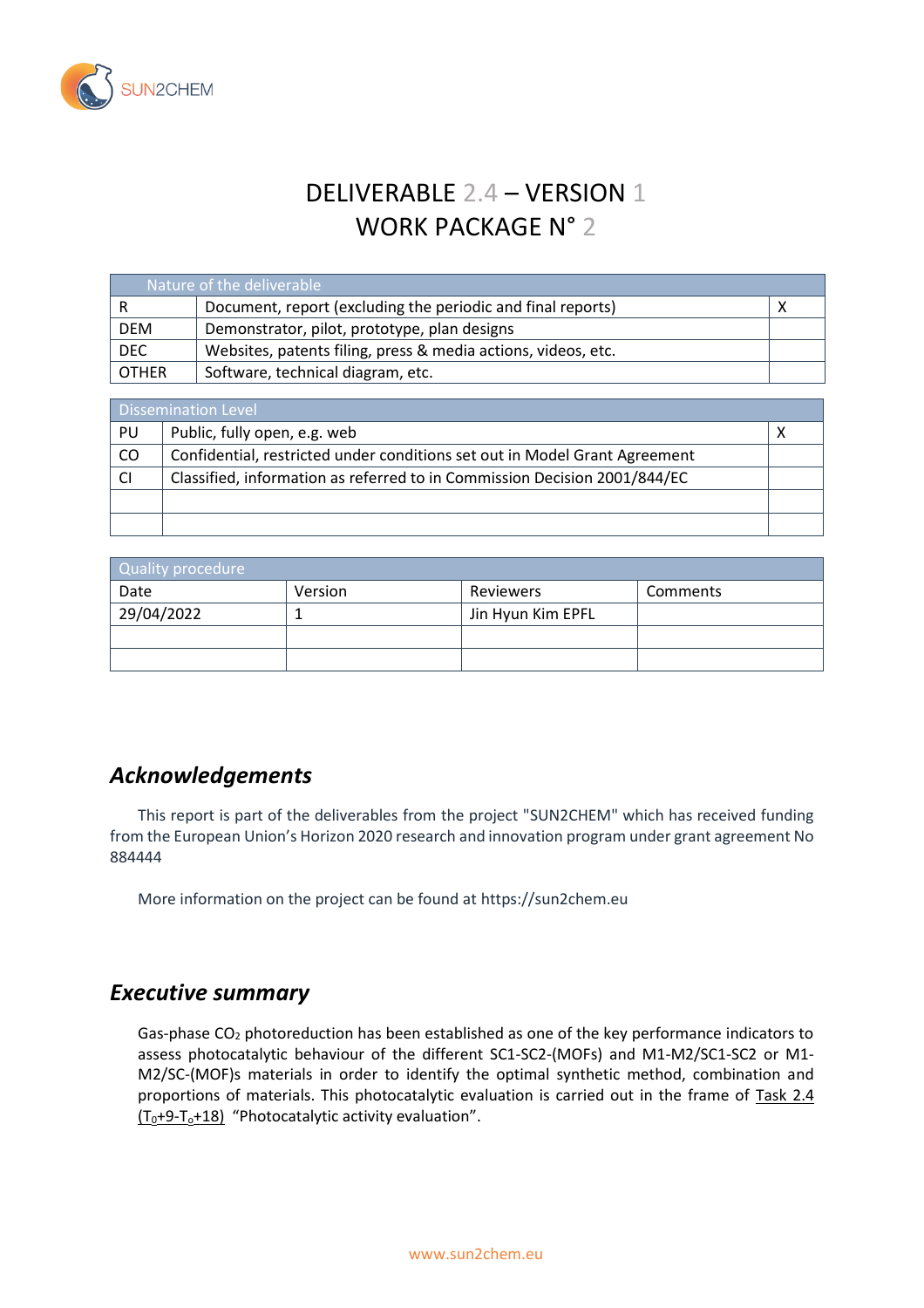

# DELIVERABLE 2.4 – VERSION 1 WORK PACKAGE N° 2

| Nature of the deliverable. |                                                               |  |  |  |
|----------------------------|---------------------------------------------------------------|--|--|--|
|                            | Document, report (excluding the periodic and final reports)   |  |  |  |
| <b>DEM</b>                 | Demonstrator, pilot, prototype, plan designs                  |  |  |  |
| <b>DEC</b>                 | Websites, patents filing, press & media actions, videos, etc. |  |  |  |
| <b>OTHER</b>               | Software, technical diagram, etc.                             |  |  |  |

| <b>Dissemination Level</b> |                                                                            |  |  |  |
|----------------------------|----------------------------------------------------------------------------|--|--|--|
| PU                         | Public, fully open, e.g. web                                               |  |  |  |
| CO                         | Confidential, restricted under conditions set out in Model Grant Agreement |  |  |  |
|                            | Classified, information as referred to in Commission Decision 2001/844/EC  |  |  |  |
|                            |                                                                            |  |  |  |
|                            |                                                                            |  |  |  |

| Quality procedure |         |                   |          |  |  |  |  |
|-------------------|---------|-------------------|----------|--|--|--|--|
| Date              | Version | Reviewers         | Comments |  |  |  |  |
| 29/04/2022        |         | Jin Hyun Kim EPFL |          |  |  |  |  |
|                   |         |                   |          |  |  |  |  |
|                   |         |                   |          |  |  |  |  |

## *Acknowledgements*

This report is part of the deliverables from the project "SUN2CHEM" which has received funding from the European Union's Horizon 2020 research and innovation program under grant agreement No 884444

More information on the project can be found at https://sun2chem.eu

#### *Executive summary*

Gas-phase  $CO<sub>2</sub>$  photoreduction has been established as one of the key performance indicators to assess photocatalytic behaviour of the different SC1-SC2-(MOFs) and M1-M2/SC1-SC2 or M1- M2/SC-(MOF)s materials in order to identify the optimal synthetic method, combination and proportions of materials. This photocatalytic evaluation is carried out in the frame of Task 2.4  $(T_0+9-T_0+18)$  "Photocatalytic activity evaluation".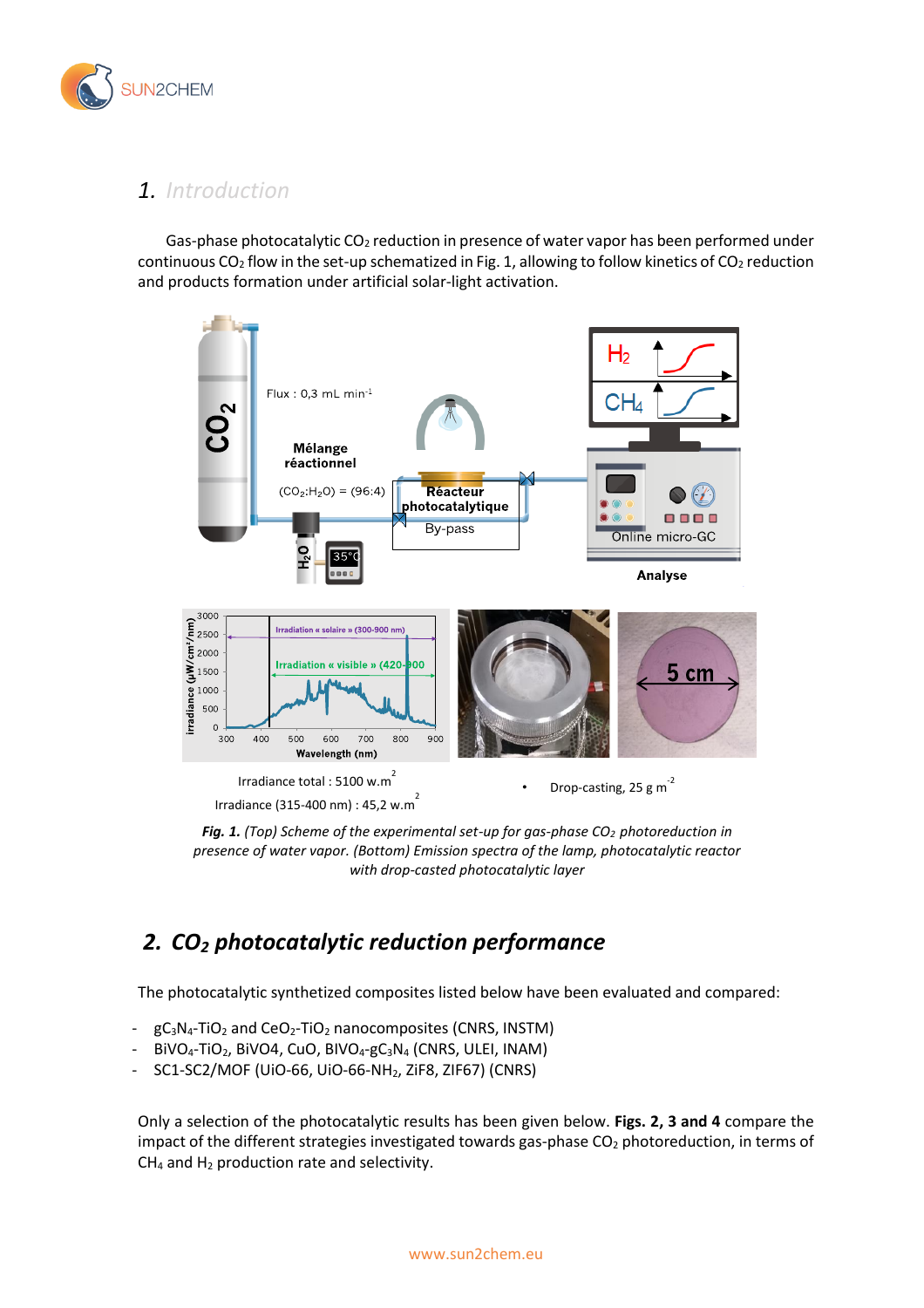

## *1. Introduction*

Gas-phase photocatalytic CO<sub>2</sub> reduction in presence of water vapor has been performed under continuous CO<sub>2</sub> flow in the set-up schematized in Fig. 1, allowing to follow kinetics of CO<sub>2</sub> reduction and products formation under artificial solar-light activation.





# *2. CO<sup>2</sup> photocatalytic reduction performance*

The photocatalytic synthetized composites listed below have been evaluated and compared:

- $gC_3N_4$ -TiO<sub>2</sub> and CeO<sub>2</sub>-TiO<sub>2</sub> nanocomposites (CNRS, INSTM)
- $BIVO_4$ -TiO<sub>2</sub>, BiVO4, CuO, BIVO<sub>4</sub>-gC<sub>3</sub>N<sub>4</sub> (CNRS, ULEI, INAM)
- SC1-SC2/MOF (UiO-66, UiO-66-NH2, ZiF8, ZIF67) (CNRS)

Only a selection of the photocatalytic results has been given below. **Figs. 2, 3 and 4** compare the impact of the different strategies investigated towards gas-phase  $CO<sub>2</sub>$  photoreduction, in terms of  $CH<sub>4</sub>$  and  $H<sub>2</sub>$  production rate and selectivity.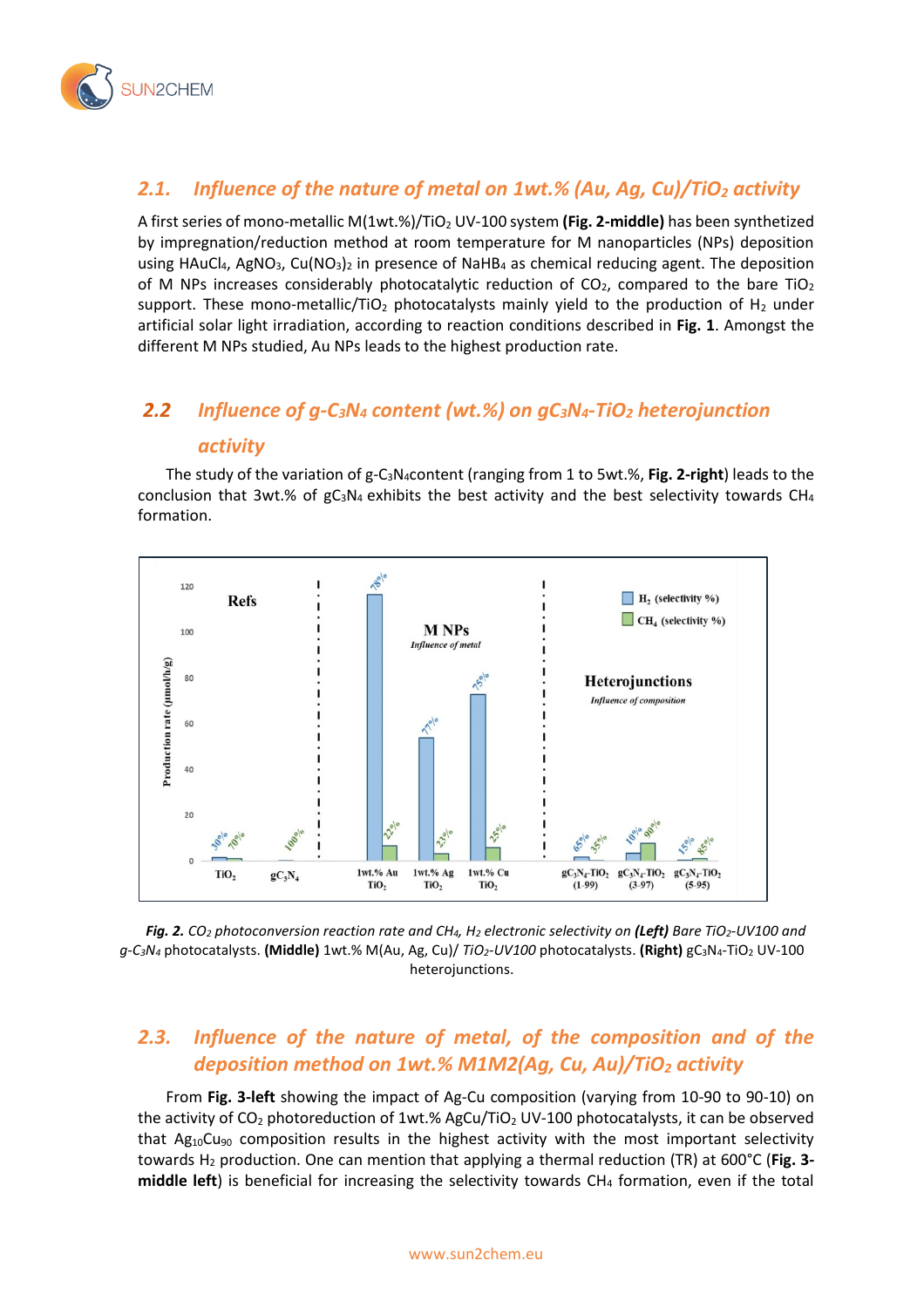

### *2.1. Influence of the nature of metal on 1wt.% (Au, Ag, Cu)/TiO<sup>2</sup> activity*

A first series of mono-metallic M(1wt.%)/TiO<sup>2</sup> UV-100 system **(Fig. 2-middle)** has been synthetized by impregnation/reduction method at room temperature for M nanoparticles (NPs) deposition using HAuCl<sub>4</sub>, AgNO<sub>3</sub>, Cu(NO<sub>3</sub>)<sub>2</sub> in presence of NaHB<sub>4</sub> as chemical reducing agent. The deposition of M NPs increases considerably photocatalytic reduction of  $CO<sub>2</sub>$ , compared to the bare TiO<sub>2</sub> support. These mono-metallic/TiO<sub>2</sub> photocatalysts mainly yield to the production of H<sub>2</sub> under artificial solar light irradiation, according to reaction conditions described in **Fig. 1**. Amongst the different M NPs studied, Au NPs leads to the highest production rate.

# *2.2 Influence of g-C3N<sup>4</sup> content (wt.%) on gC3N4-TiO<sup>2</sup> heterojunction activity*

The study of the variation of g-C3N4content (ranging from 1 to 5wt.%, **Fig. 2-right**) leads to the conclusion that 3wt.% of  $gc_3N_4$  exhibits the best activity and the best selectivity towards CH<sub>4</sub> formation.



*Fig. 2. CO<sup>2</sup> photoconversion reaction rate and CH4, H<sup>2</sup> electronic selectivity on (Left) Bare TiO2-UV100 and g-C3N<sup>4</sup>* photocatalysts. **(Middle)** 1wt.% M(Au, Ag, Cu)/ *TiO2-UV100* photocatalysts. **(Right)** gC3N4-TiO<sup>2</sup> UV-100 heterojunctions.

#### *2.3. Influence of the nature of metal, of the composition and of the deposition method on 1wt.% M1M2(Ag, Cu, Au)/TiO<sup>2</sup> activity*

From **Fig. 3-left** showing the impact of Ag-Cu composition (varying from 10-90 to 90-10) on the activity of  $CO<sub>2</sub>$  photoreduction of 1wt.% AgCu/TiO<sub>2</sub> UV-100 photocatalysts, it can be observed that  $Ag_{10}Cu_{90}$  composition results in the highest activity with the most important selectivity towards H<sup>2</sup> production. One can mention that applying a thermal reduction (TR) at 600°C (**Fig. 3 middle left**) is beneficial for increasing the selectivity towards CH<sup>4</sup> formation, even if the total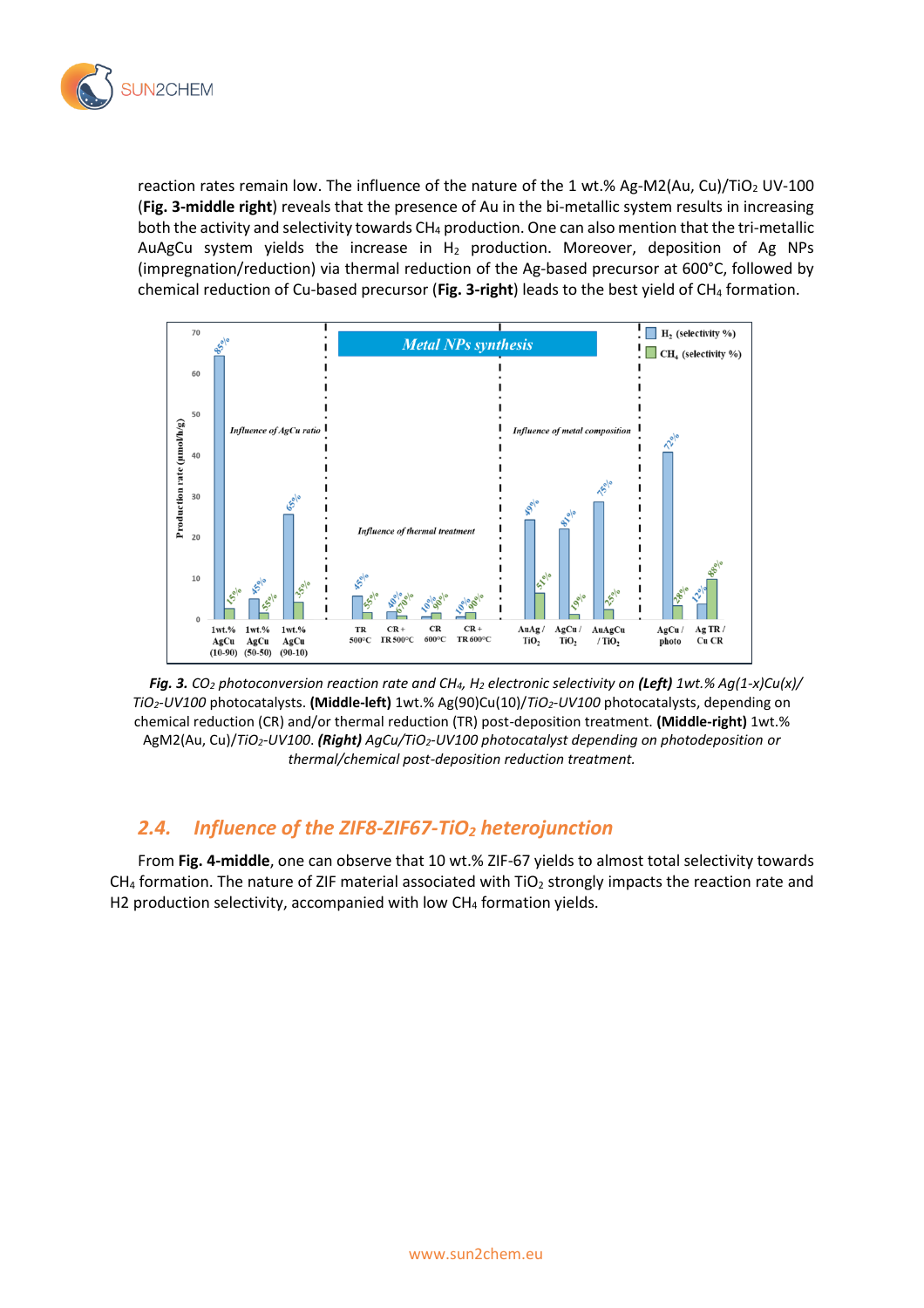

reaction rates remain low. The influence of the nature of the 1 wt.% Ag-M2(Au, Cu)/TiO<sub>2</sub> UV-100 (**Fig. 3-middle right**) reveals that the presence of Au in the bi-metallic system results in increasing both the activity and selectivity towards CH<sub>4</sub> production. One can also mention that the tri-metallic AuAgCu system yields the increase in  $H_2$  production. Moreover, deposition of Ag NPs (impregnation/reduction) via thermal reduction of the Ag-based precursor at 600°C, followed by chemical reduction of Cu-based precursor (**Fig. 3-right**) leads to the best yield of CH<sup>4</sup> formation.



*Fig. 3. CO<sup>2</sup> photoconversion reaction rate and CH4, H<sup>2</sup> electronic selectivity on (Left) 1wt.% Ag(1-x)Cu(x)/ TiO2-UV100* photocatalysts. **(Middle-left)** 1wt.% Ag(90)Cu(10)/*TiO2-UV100* photocatalysts, depending on chemical reduction (CR) and/or thermal reduction (TR) post-deposition treatment. **(Middle-right)** 1wt.% AgM2(Au, Cu)/*TiO2-UV100*. *(Right) AgCu/TiO2-UV100 photocatalyst depending on photodeposition or thermal/chemical post-deposition reduction treatment.*

#### *2.4. Influence of the ZIF8-ZIF67-TiO<sup>2</sup> heterojunction*

From **Fig. 4-middle**, one can observe that 10 wt.% ZIF-67 yields to almost total selectivity towards  $CH<sub>4</sub>$  formation. The nature of ZIF material associated with TiO<sub>2</sub> strongly impacts the reaction rate and H2 production selectivity, accompanied with low  $CH<sub>4</sub>$  formation yields.